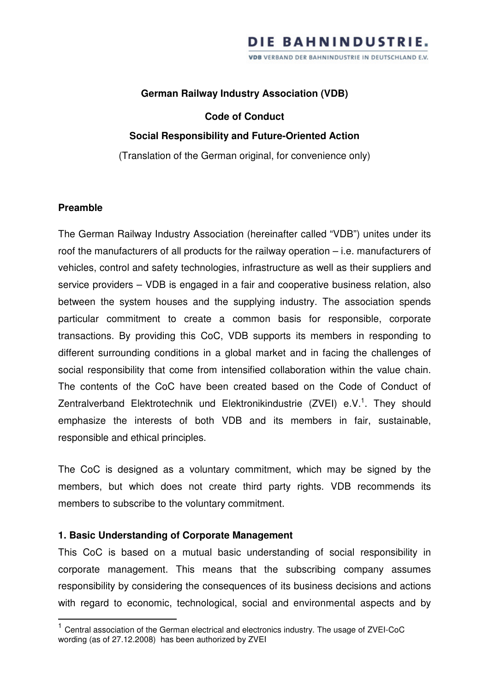#### **German Railway Industry Association (VDB)**

#### **Code of Conduct**

#### **Social Responsibility and Future-Oriented Action**

(Translation of the German original, for convenience only)

#### **Preamble**

 $\overline{a}$ 

The German Railway Industry Association (hereinafter called "VDB") unites under its roof the manufacturers of all products for the railway operation – i.e. manufacturers of vehicles, control and safety technologies, infrastructure as well as their suppliers and service providers – VDB is engaged in a fair and cooperative business relation, also between the system houses and the supplying industry. The association spends particular commitment to create a common basis for responsible, corporate transactions. By providing this CoC, VDB supports its members in responding to different surrounding conditions in a global market and in facing the challenges of social responsibility that come from intensified collaboration within the value chain. The contents of the CoC have been created based on the Code of Conduct of Zentralverband Elektrotechnik und Elektronikindustrie (ZVEI) e.V.<sup>1</sup>. They should emphasize the interests of both VDB and its members in fair, sustainable, responsible and ethical principles.

The CoC is designed as a voluntary commitment, which may be signed by the members, but which does not create third party rights. VDB recommends its members to subscribe to the voluntary commitment.

#### **1. Basic Understanding of Corporate Management**

This CoC is based on a mutual basic understanding of social responsibility in corporate management. This means that the subscribing company assumes responsibility by considering the consequences of its business decisions and actions with regard to economic, technological, social and environmental aspects and by

<sup>&</sup>lt;sup>1</sup> Central association of the German electrical and electronics industry. The usage of ZVEI-CoC wording (as of 27.12.2008) has been authorized by ZVEI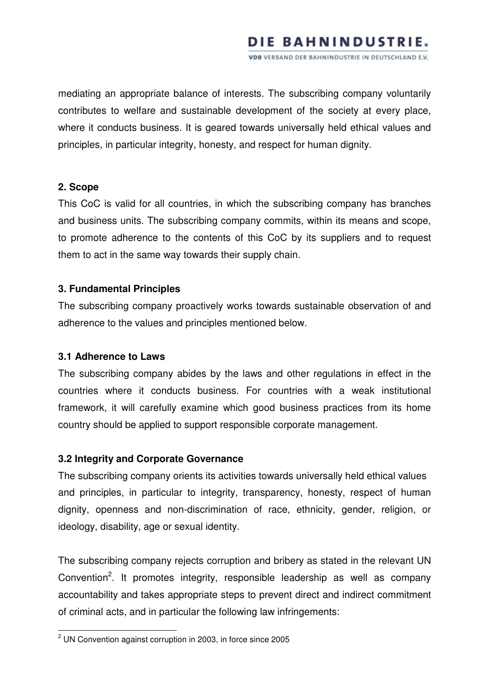# DIE BAHNINDUSTRIE.

**VDB** VERBAND DER BAHNINDUSTRIE IN DEUTSCHLAND E.V.

mediating an appropriate balance of interests. The subscribing company voluntarily contributes to welfare and sustainable development of the society at every place, where it conducts business. It is geared towards universally held ethical values and principles, in particular integrity, honesty, and respect for human dignity.

#### **2. Scope**

This CoC is valid for all countries, in which the subscribing company has branches and business units. The subscribing company commits, within its means and scope, to promote adherence to the contents of this CoC by its suppliers and to request them to act in the same way towards their supply chain.

## **3. Fundamental Principles**

The subscribing company proactively works towards sustainable observation of and adherence to the values and principles mentioned below.

#### **3.1 Adherence to Laws**

 $\overline{a}$ 

The subscribing company abides by the laws and other regulations in effect in the countries where it conducts business. For countries with a weak institutional framework, it will carefully examine which good business practices from its home country should be applied to support responsible corporate management.

#### **3.2 Integrity and Corporate Governance**

The subscribing company orients its activities towards universally held ethical values and principles, in particular to integrity, transparency, honesty, respect of human dignity, openness and non-discrimination of race, ethnicity, gender, religion, or ideology, disability, age or sexual identity.

The subscribing company rejects corruption and bribery as stated in the relevant UN Convention<sup>2</sup>. It promotes integrity, responsible leadership as well as company accountability and takes appropriate steps to prevent direct and indirect commitment of criminal acts, and in particular the following law infringements:

 $2$  UN Convention against corruption in 2003, in force since 2005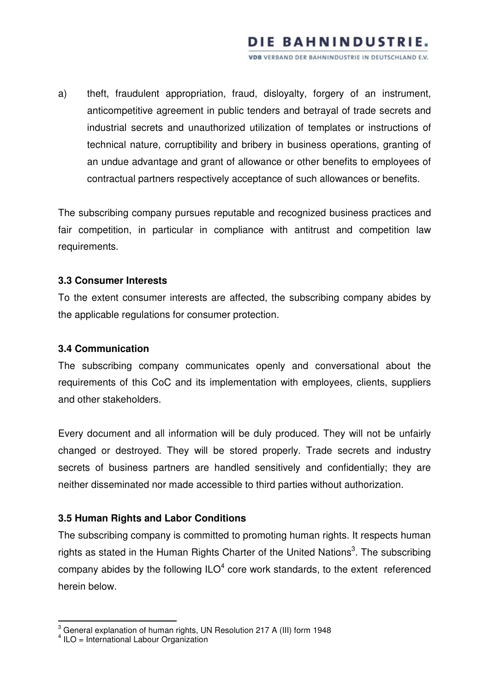# DIE BAHNINDUSTRIE.

VDB VERBAND DER BAHNINDUSTRIE IN DEUTSCHLAND E.V.

a) theft, fraudulent appropriation, fraud, disloyalty, forgery of an instrument, anticompetitive agreement in public tenders and betrayal of trade secrets and industrial secrets and unauthorized utilization of templates or instructions of technical nature, corruptibility and bribery in business operations, granting of an undue advantage and grant of allowance or other benefits to employees of contractual partners respectively acceptance of such allowances or benefits.

The subscribing company pursues reputable and recognized business practices and fair competition, in particular in compliance with antitrust and competition law requirements.

## **3.3 Consumer Interests**

To the extent consumer interests are affected, the subscribing company abides by the applicable regulations for consumer protection.

#### **3.4 Communication**

The subscribing company communicates openly and conversational about the requirements of this CoC and its implementation with employees, clients, suppliers and other stakeholders.

Every document and all information will be duly produced. They will not be unfairly changed or destroyed. They will be stored properly. Trade secrets and industry secrets of business partners are handled sensitively and confidentially; they are neither disseminated nor made accessible to third parties without authorization.

# **3.5 Human Rights and Labor Conditions**

The subscribing company is committed to promoting human rights. It respects human rights as stated in the Human Rights Charter of the United Nations<sup>3</sup>. The subscribing company abides by the following  $ILO<sup>4</sup>$  core work standards, to the extent referenced herein below.

 $\overline{a}$ 

 $3$  General explanation of human rights, UN Resolution 217 A (III) form 1948

<sup>4</sup> ILO = International Labour Organization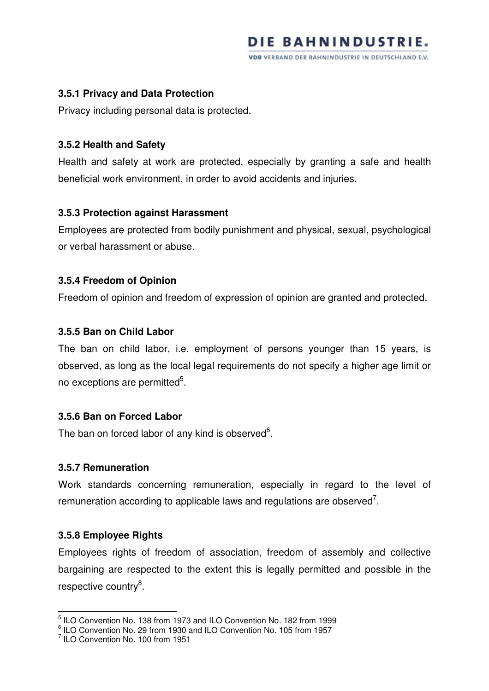## **3.5.1 Privacy and Data Protection**

Privacy including personal data is protected.

## **3.5.2 Health and Safety**

Health and safety at work are protected, especially by granting a safe and health beneficial work environment, in order to avoid accidents and injuries.

## **3.5.3 Protection against Harassment**

Employees are protected from bodily punishment and physical, sexual, psychological or verbal harassment or abuse.

## **3.5.4 Freedom of Opinion**

Freedom of opinion and freedom of expression of opinion are granted and protected.

## **3.5.5 Ban on Child Labor**

The ban on child labor, i.e. employment of persons younger than 15 years, is observed, as long as the local legal requirements do not specify a higher age limit or no exceptions are permitted<sup>5</sup>.

# **3.5.6 Ban on Forced Labor**

The ban on forced labor of any kind is observed $6$ .

#### **3.5.7 Remuneration**

Work standards concerning remuneration, especially in regard to the level of remuneration according to applicable laws and regulations are observed<sup>7</sup>.

# **3.5.8 Employee Rights**

l

Employees rights of freedom of association, freedom of assembly and collective bargaining are respected to the extent this is legally permitted and possible in the respective country<sup>8</sup>.

<sup>&</sup>lt;sup>5</sup> ILO Convention No. 138 from 1973 and ILO Convention No. 182 from 1999

 $\frac{6}{1}$  ILO Convention No. 29 from 1930 and ILO Convention No. 105 from 1957

<sup>&</sup>lt;sup>7</sup> ILO Convention No. 100 from 1951